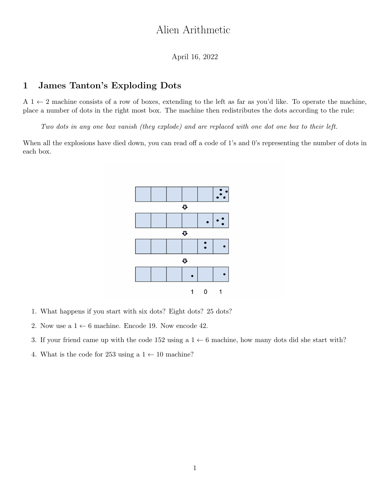# Alien Arithmetic

April 16, 2022

### 1 James Tanton's Exploding Dots

 $A_1 \leftarrow 2$  machine consists of a row of boxes, extending to the left as far as you'd like. To operate the machine, place a number of dots in the right most box. The machine then redistributes the dots according to the rule:

Two dots in any one box vanish (they explode) and are replaced with one dot one box to their left.

When all the explosions have died down, you can read off a code of 1's and 0's representing the number of dots in each box.



- 1. What happens if you start with six dots? Eight dots? 25 dots?
- 2. Now use a  $1 \leftarrow 6$  machine. Encode 19. Now encode 42.
- 3. If your friend came up with the code 152 using a  $1 \leftarrow 6$  machine, how many dots did she start with?
- 4. What is the code for 253 using a  $1 \leftarrow 10$  machine?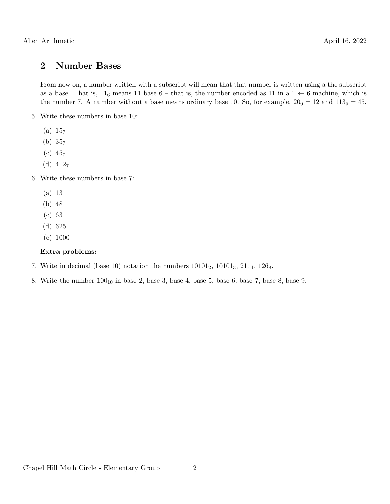## 2 Number Bases

From now on, a number written with a subscript will mean that that number is written using a the subscript as a base. That is,  $11_6$  means 11 base 6 – that is, the number encoded as 11 in a  $1 \leftarrow 6$  machine, which is the number 7. A number without a base means ordinary base 10. So, for example,  $20<sub>6</sub> = 12$  and  $113<sub>6</sub> = 45$ .

- 5. Write these numbers in base 10:
	- $(a) 157$
	- (b) 35<sup>7</sup>
	- $(c) 45<sub>7</sub>$
	- (d)  $412_7$
- 6. Write these numbers in base 7:
	- (a) 13
	- (b) 48
	- (c) 63
	- (d) 625
	- (e) 1000

#### Extra problems:

- 7. Write in decimal (base 10) notation the numbers  $10101_2$ ,  $10101_3$ ,  $211_4$ ,  $126_8$ .
- 8. Write the number  $100_{10}$  in base 2, base 3, base 4, base 5, base 6, base 7, base 8, base 9.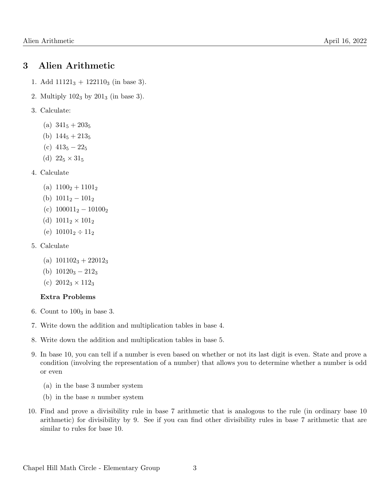### 3 Alien Arithmetic

- 1. Add  $11121_3 + 122110_3$  (in base 3).
- 2. Multiply  $102<sub>3</sub>$  by  $201<sub>3</sub>$  (in base 3).
- 3. Calculate:
	- (a)  $341_5 + 203_5$
	- (b)  $144_5 + 213_5$
	- (c)  $413_5 22_5$
	- (d)  $22_5 \times 31_5$
- 4. Calculate
	- (a)  $1100<sub>2</sub> + 1101<sub>2</sub>$
	- (b)  $1011_2 101_2$
	- (c)  $100011_2 10100_2$
	- (d)  $1011_2 \times 101_2$
	- (e)  $10101_2 \div 11_2$
- 5. Calculate
	- (a)  $101102_3 + 22012_3$
	- (b)  $10120_3 212_3$
	- (c)  $2012_3 \times 112_3$

#### Extra Problems

- 6. Count to  $100<sub>3</sub>$  in base 3.
- 7. Write down the addition and multiplication tables in base 4.
- 8. Write down the addition and multiplication tables in base 5.
- 9. In base 10, you can tell if a number is even based on whether or not its last digit is even. State and prove a condition (involving the representation of a number) that allows you to determine whether a number is odd or even
	- (a) in the base 3 number system
	- (b) in the base  $n$  number system
- 10. Find and prove a divisibility rule in base 7 arithmetic that is analogous to the rule (in ordinary base 10 arithmetic) for divisibility by 9. See if you can find other divisibility rules in base 7 arithmetic that are similar to rules for base 10.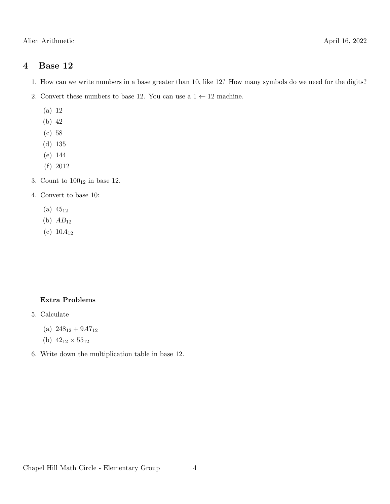### 4 Base 12

- 1. How can we write numbers in a base greater than 10, like 12? How many symbols do we need for the digits?
- 2. Convert these numbers to base 12. You can use a  $1 \leftarrow 12$  machine.
	- (a) 12
	- (b) 42
	- (c) 58
	- (d) 135
	- (e) 144
	- (f) 2012
- 3. Count to  $100_{12}$  in base 12.
- 4. Convert to base 10:
	- $(a) 45_{12}$
	- (b)  $AB_{12}$
	- (c)  $10A_{12}$

#### Extra Problems

- 5. Calculate
	- (a)  $248_{12} + 9A7_{12}$
	- (b)  $42_{12} \times 55_{12}$
- 6. Write down the multiplication table in base 12.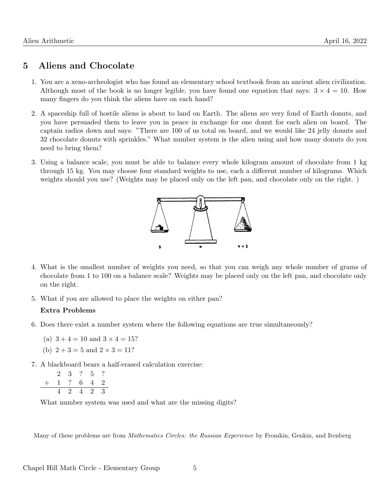### 5 Aliens and Chocolate

- 1. You are a xeno-archeologist who has found an elementary school textbook from an ancient alien civilization. Although most of the book is no longer legible, you have found one equation that says:  $3 \times 4 = 10$ . How many fingers do you think the aliens have on each hand?
- 2. A spaceship full of hostile aliens is about to land on Earth. The aliens are very fond of Earth donuts, and you have persuaded them to leave you in peace in exchange for one donut for each alien on board. The captain radios down and says: "There are 100 of us total on board, and we would like 24 jelly donuts and 32 chocolate donuts with sprinkles." What number system is the alien using and how many donuts do you need to bring them?
- 3. Using a balance scale, you must be able to balance every whole kilogram amount of chocolate from 1 kg through 15 kg. You may choose four standard weights to use, each a different number of kilograms. Which weights should you use? (Weights may be placed only on the left pan, and chocolate only on the right. )



- 4. What is the smallest number of weights you need, so that you can weigh any whole number of grams of chocolate from 1 to 100 on a balance scale? Weights may be placed only on the left pan, and chocolate only on the right.
- 5. What if you are allowed to place the weights on either pan?

#### Extra Problems

- 6. Does there exist a number system where the following equations are true simultaneously?
	- (a)  $3 + 4 = 10$  and  $3 \times 4 = 15$ ?
	- (b)  $2 + 3 = 5$  and  $2 \times 3 = 11$ ?
- 7. A blackboard bears a half-erased calculation exercise:
	- 2 3 ? 5 ? + 1 ? 6 4 2 4 2 4 2 3

What number system was used and what are the missing digits?

Many of these problems are from *Mathematics Circles: the Russian Experience* by Fromkin, Genkin, and Itenberg